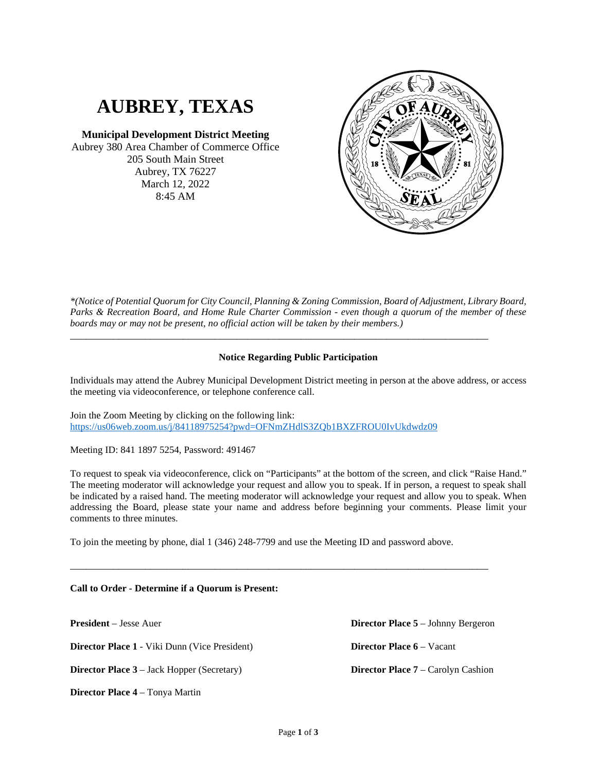# **AUBREY, TEXAS**

**Municipal Development District Meeting** Aubrey 380 Area Chamber of Commerce Office 205 South Main Street Aubrey, TX 76227 March 12, 2022 8:45 AM



*\*(Notice of Potential Quorum for City Council, Planning & Zoning Commission, Board of Adjustment, Library Board, Parks & Recreation Board, and Home Rule Charter Commission - even though a quorum of the member of these boards may or may not be present, no official action will be taken by their members.)*

# **Notice Regarding Public Participation**

\_\_\_\_\_\_\_\_\_\_\_\_\_\_\_\_\_\_\_\_\_\_\_\_\_\_\_\_\_\_\_\_\_\_\_\_\_\_\_\_\_\_\_\_\_\_\_\_\_\_\_\_\_\_\_\_\_\_\_\_\_\_\_\_\_\_\_\_\_\_\_\_\_\_\_\_\_\_

Individuals may attend the Aubrey Municipal Development District meeting in person at the above address, or access the meeting via videoconference, or telephone conference call.

Join the Zoom Meeting by clicking on the following link: <https://us06web.zoom.us/j/84118975254?pwd=OFNmZHdlS3ZQb1BXZFROU0IvUkdwdz09>

Meeting ID: 841 1897 5254, Password: 491467

To request to speak via videoconference, click on "Participants" at the bottom of the screen, and click "Raise Hand." The meeting moderator will acknowledge your request and allow you to speak. If in person, a request to speak shall be indicated by a raised hand. The meeting moderator will acknowledge your request and allow you to speak. When addressing the Board, please state your name and address before beginning your comments. Please limit your comments to three minutes.

To join the meeting by phone, dial 1 (346) 248-7799 and use the Meeting ID and password above.

\_\_\_\_\_\_\_\_\_\_\_\_\_\_\_\_\_\_\_\_\_\_\_\_\_\_\_\_\_\_\_\_\_\_\_\_\_\_\_\_\_\_\_\_\_\_\_\_\_\_\_\_\_\_\_\_\_\_\_\_\_\_\_\_\_\_\_\_\_\_\_\_\_\_\_\_\_\_

### **Call to Order - Determine if a Quorum is Present:**

**President** – Jesse Auer **Director Place 1** - Viki Dunn (Vice President) **Director Place 3** – Jack Hopper (Secretary) **Director Place 4** – Tonya Martin **Director Place 5** – Johnny Bergeron **Director Place 6** – Vacant **Director Place 7** – Carolyn Cashion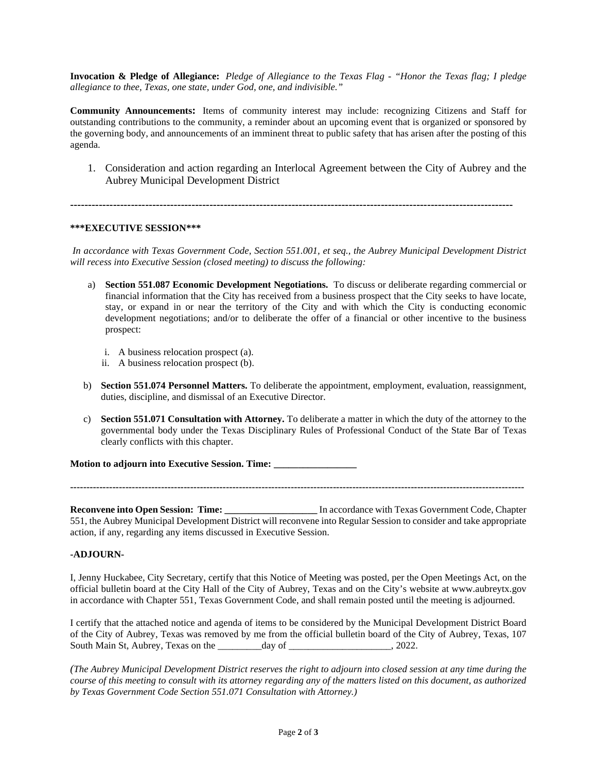**Invocation & Pledge of Allegiance:** *Pledge of Allegiance to the Texas Flag - "Honor the Texas flag; I pledge allegiance to thee, Texas, one state, under God, one, and indivisible."*

**Community Announcements:** Items of community interest may include: recognizing Citizens and Staff for outstanding contributions to the community, a reminder about an upcoming event that is organized or sponsored by the governing body, and announcements of an imminent threat to public safety that has arisen after the posting of this agenda.

1. Consideration and action regarding an Interlocal Agreement between the City of Aubrey and the Aubrey Municipal Development District

**----------------------------------------------------------------------------------------------------------------------------**

### **\*\*\*EXECUTIVE SESSION\*\*\***

*In accordance with Texas Government Code, Section 551.001, et seq., the Aubrey Municipal Development District will recess into Executive Session (closed meeting) to discuss the following:*

- a) **Section 551.087 Economic Development Negotiations.** To discuss or deliberate regarding commercial or financial information that the City has received from a business prospect that the City seeks to have locate, stay, or expand in or near the territory of the City and with which the City is conducting economic development negotiations; and/or to deliberate the offer of a financial or other incentive to the business prospect:
	- i. A business relocation prospect (a).
	- ii. A business relocation prospect (b).
- b) **Section 551.074 Personnel Matters.** To deliberate the appointment, employment, evaluation, reassignment, duties, discipline, and dismissal of an Executive Director.
- c) **Section 551.071 Consultation with Attorney.** To deliberate a matter in which the duty of the attorney to the governmental body under the Texas Disciplinary Rules of Professional Conduct of the State Bar of Texas clearly conflicts with this chapter.

**Motion to adjourn into Executive Session. Time: \_\_\_\_\_\_\_\_\_\_\_\_\_\_\_\_\_**

**--------------------------------------------------------------------------------------------------------------------------------------------**

**Reconvene into Open Session: Time: \_\_\_\_\_\_\_\_\_\_\_\_\_\_\_\_\_\_\_** In accordance with Texas Government Code, Chapter 551, the Aubrey Municipal Development District will reconvene into Regular Session to consider and take appropriate action, if any, regarding any items discussed in Executive Session.

# **-ADJOURN-**

I, Jenny Huckabee, City Secretary, certify that this Notice of Meeting was posted, per the Open Meetings Act, on the official bulletin board at the City Hall of the City of Aubrey, Texas and on the City's website at www.aubreytx.gov in accordance with Chapter 551, Texas Government Code, and shall remain posted until the meeting is adjourned.

I certify that the attached notice and agenda of items to be considered by the Municipal Development District Board of the City of Aubrey, Texas was removed by me from the official bulletin board of the City of Aubrey, Texas, 107 South Main St, Aubrey, Texas on the day of the day of the same control of the same control of the same control of the same control of the same control of the same control of the same control of the same control of the same

*(The Aubrey Municipal Development District reserves the right to adjourn into closed session at any time during the course of this meeting to consult with its attorney regarding any of the matters listed on this document, as authorized by Texas Government Code Section 551.071 Consultation with Attorney.)*